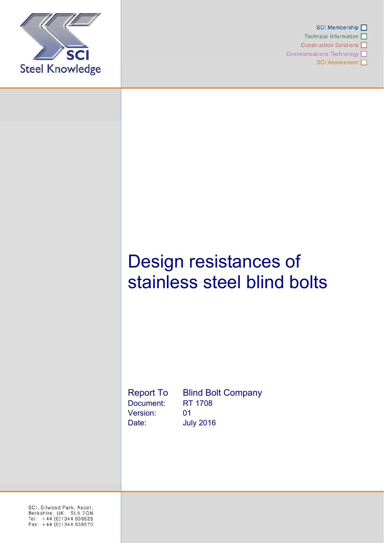

**SCI Membership** □ Technical Information Construction Solutions Communications Technology SCI Assessment

# Design resistances of stainless steel blind bolts

Document: RT 1708 Version: 01 Date: **July 2016** 

Report To Blind Bolt Company

SCI, Silwood Park, Ascot,<br>Berkshire, UK. SL5 7QN<br>Tel: +44 (0)1344 636525<br>Fax: +44 (0)1344 636570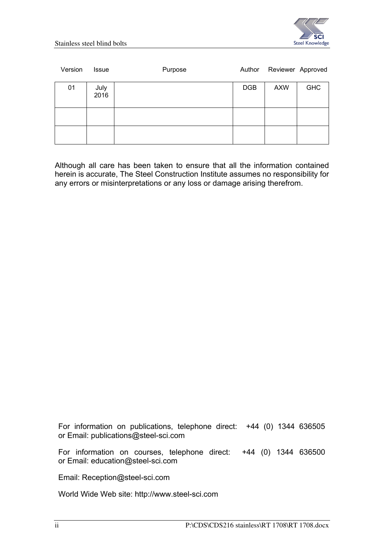

| Version | <b>Issue</b> | Purpose | Author     |            | Reviewer Approved |
|---------|--------------|---------|------------|------------|-------------------|
| 01      | July<br>2016 |         | <b>DGB</b> | <b>AXW</b> | <b>GHC</b>        |
|         |              |         |            |            |                   |
|         |              |         |            |            |                   |

Although all care has been taken to ensure that all the information contained herein is accurate, The Steel Construction Institute assumes no responsibility for any errors or misinterpretations or any loss or damage arising therefrom.

For information on publications, telephone direct: +44 (0) 1344 636505 or Email: publications@steel-sci.com

For information on courses, telephone direct: +44 (0) 1344 636500 or Email: education@steel-sci.com

Email: Reception@steel-sci.com

World Wide Web site: http://www.steel-sci.com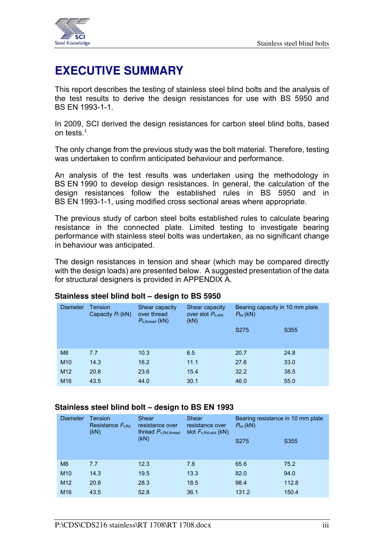

# **EXECUTIVE SUMMARY**

This report describes the testing of stainless steel blind bolts and the analysis of the test results to derive the design resistances for use with BS 5950 and BS EN 1993-1-1.

In 2009, SCI derived the design resistances for carbon steel blind bolts, based on tests  $1$ 

The only change from the previous study was the bolt material. Therefore, testing was undertaken to confirm anticipated behaviour and performance.

An analysis of the test results was undertaken using the methodology in BS EN 1990 to develop design resistances. In general, the calculation of the design resistances follow the established rules in BS 5950 and in BS EN 1993-1-1, using modified cross sectional areas where appropriate.

The previous study of carbon steel bolts established rules to calculate bearing resistance in the connected plate. Limited testing to investigate bearing performance with stainless steel bolts was undertaken, as no significant change in behaviour was anticipated.

The design resistances in tension and shear (which may be compared directly with the design loads) are presented below. A suggested presentation of the data for structural designers is provided in APPENDIX A.

| <b>Diameter</b> | <b>Tension</b><br>Capacity $P_t$ (kN) | Shear capacity<br>over thread<br>$P_{s,thread}$ ( $kN$ ) | Shear capacity<br>over slot $P_{s,\text{slot}}$<br>(KN) | Bearing capacity in 10 mm plate<br>$P_{bs}$ (kN)<br>S275 | S355 |
|-----------------|---------------------------------------|----------------------------------------------------------|---------------------------------------------------------|----------------------------------------------------------|------|
| M8              | 7.7                                   | 10.3                                                     | 6.5                                                     | 20.7                                                     | 24.8 |
| M <sub>10</sub> | 14.3                                  | 16.2                                                     | 11.1                                                    | 27.6                                                     | 33.0 |
| M <sub>12</sub> | 20.8                                  | 23.6                                                     | 15.4                                                    | 32.2                                                     | 38.5 |
| M <sub>16</sub> | 43.5                                  | 44.0                                                     | 30.1                                                    | 46.0                                                     | 55.0 |

#### **Stainless steel blind bolt – design to BS 5950**

#### **Stainless steel blind bolt – design to BS EN 1993**

| <b>Diameter</b> | Tension<br>Resistance $F_{t, Rd}$<br>(KN) | Shear<br>resistance over<br>thread $P_{v, \text{Rd}, \text{thread}}$<br>(KN) | Shear<br>resistance over<br>$Slot F_{v,Rd,slot}$ (kN) | Bearing resistance in 10 mm plate<br>$P_{\text{bs}}$ (kN)<br>S275 | S355  |
|-----------------|-------------------------------------------|------------------------------------------------------------------------------|-------------------------------------------------------|-------------------------------------------------------------------|-------|
|                 |                                           |                                                                              |                                                       |                                                                   |       |
| M <sub>8</sub>  | 7.7                                       | 12.3                                                                         | 7.8                                                   | 65.6                                                              | 75.2  |
| M <sub>10</sub> | 14.3                                      | 19.5                                                                         | 13.3                                                  | 82.0                                                              | 94.0  |
| M <sub>12</sub> | 20.8                                      | 28.3                                                                         | 18.5                                                  | 98.4                                                              | 112.8 |
| M <sub>16</sub> | 43.5                                      | 52.8                                                                         | 36.1                                                  | 131.2                                                             | 150.4 |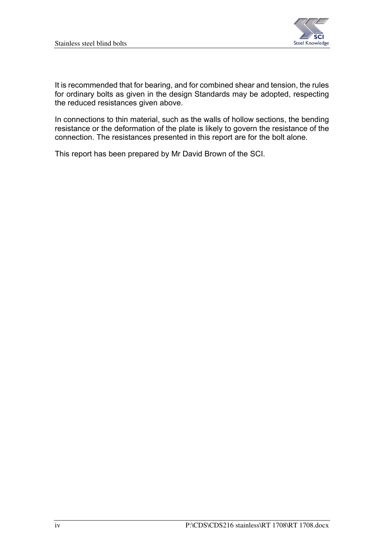

It is recommended that for bearing, and for combined shear and tension, the rules for ordinary bolts as given in the design Standards may be adopted, respecting the reduced resistances given above.

In connections to thin material, such as the walls of hollow sections, the bending resistance or the deformation of the plate is likely to govern the resistance of the connection. The resistances presented in this report are for the bolt alone.

This report has been prepared by Mr David Brown of the SCI.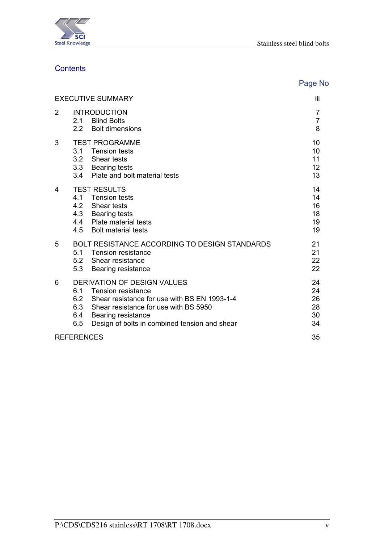

#### **Contents**

|                |                                                                                                                                                                                                                                                           | Page No                          |
|----------------|-----------------------------------------------------------------------------------------------------------------------------------------------------------------------------------------------------------------------------------------------------------|----------------------------------|
|                | <b>EXECUTIVE SUMMARY</b>                                                                                                                                                                                                                                  | iij                              |
| $\overline{2}$ | <b>INTRODUCTION</b><br>2.1 Blind Bolts<br>2.2<br><b>Bolt dimensions</b>                                                                                                                                                                                   | 7<br>$\overline{7}$<br>8         |
| 3              | <b>TEST PROGRAMME</b><br>3.1<br><b>Tension tests</b><br>3.2 Shear tests<br>3.3 Bearing tests<br>3.4 Plate and bolt material tests                                                                                                                         | 10<br>10<br>11<br>12<br>13       |
| 4              | <b>TEST RESULTS</b><br>4.1 Tension tests<br>4.2 Shear tests<br>4.3 Bearing tests<br>4.4 Plate material tests<br>4.5 Bolt material tests                                                                                                                   | 14<br>14<br>16<br>18<br>19<br>19 |
| 5              | BOLT RESISTANCE ACCORDING TO DESIGN STANDARDS<br>5.1 Tension resistance<br>5.2 Shear resistance<br>5.3<br>Bearing resistance                                                                                                                              | 21<br>21<br>22<br>22             |
| 6              | <b>DERIVATION OF DESIGN VALUES</b><br>6.1<br><b>Tension resistance</b><br>6.2 Shear resistance for use with BS EN 1993-1-4<br>6.3 Shear resistance for use with BS 5950<br>6.4 Bearing resistance<br>6.5<br>Design of bolts in combined tension and shear | 24<br>24<br>26<br>28<br>30<br>34 |
|                | <b>REFERENCES</b>                                                                                                                                                                                                                                         | 35                               |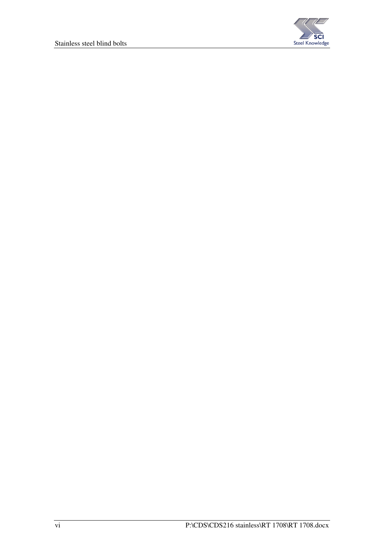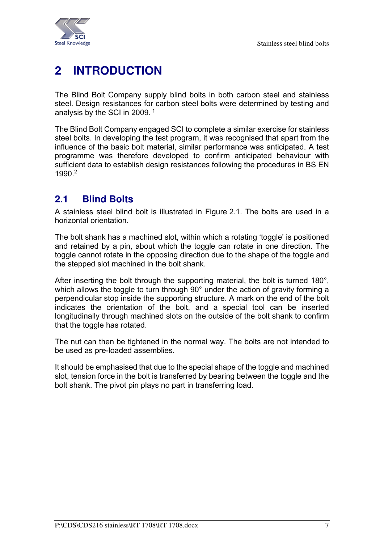

# **2 INTRODUCTION**

The Blind Bolt Company supply blind bolts in both carbon steel and stainless steel. Design resistances for carbon steel bolts were determined by testing and analysis by the SCI in 2009.<sup>1</sup>

The Blind Bolt Company engaged SCI to complete a similar exercise for stainless steel bolts. In developing the test program, it was recognised that apart from the influence of the basic bolt material, similar performance was anticipated. A test programme was therefore developed to confirm anticipated behaviour with sufficient data to establish design resistances following the procedures in BS EN 1990.<sup>2</sup>

### **2.1 Blind Bolts**

A stainless steel blind bolt is illustrated in Figure 2.1. The bolts are used in a horizontal orientation.

The bolt shank has a machined slot, within which a rotating 'toggle' is positioned and retained by a pin, about which the toggle can rotate in one direction. The toggle cannot rotate in the opposing direction due to the shape of the toggle and the stepped slot machined in the bolt shank.

After inserting the bolt through the supporting material, the bolt is turned 180°, which allows the toggle to turn through 90° under the action of gravity forming a perpendicular stop inside the supporting structure. A mark on the end of the bolt indicates the orientation of the bolt, and a special tool can be inserted longitudinally through machined slots on the outside of the bolt shank to confirm that the toggle has rotated.

The nut can then be tightened in the normal way. The bolts are not intended to be used as pre-loaded assemblies.

It should be emphasised that due to the special shape of the toggle and machined slot, tension force in the bolt is transferred by bearing between the toggle and the bolt shank. The pivot pin plays no part in transferring load.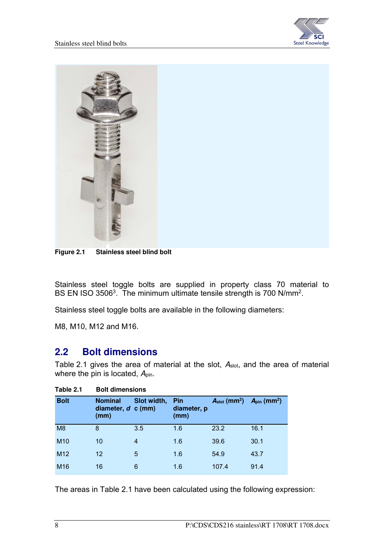



**Figure 2.1 Stainless steel blind bolt** 

Stainless steel toggle bolts are supplied in property class 70 material to BS EN ISO 3506<sup>3</sup>. The minimum ultimate tensile strength is 700 N/mm<sup>2</sup>.

Stainless steel toggle bolts are available in the following diameters:

M8, M10, M12 and M16.

### **2.2 Bolt dimensions**

Table 2.1 gives the area of material at the slot, Aslot, and the area of material where the pin is located,  $A_{pin}$ .

| <b>Bolt</b>     | <b>Nominal</b><br>diameter, $d$ c (mm)<br>(mm) | Slot width, | Pin<br>diameter, p<br>(mm) | $A_{slot}$ (mm <sup>2</sup> ) | $A_{pin}$ (mm <sup>2</sup> ) |
|-----------------|------------------------------------------------|-------------|----------------------------|-------------------------------|------------------------------|
| M <sub>8</sub>  | 8                                              | 3.5         | 1.6                        | 23.2                          | 16.1                         |
| M <sub>10</sub> | 10                                             | 4           | 1.6                        | 39.6                          | 30.1                         |
| M12             | 12                                             | 5           | 1.6                        | 54.9                          | 43.7                         |
| M <sub>16</sub> | 16                                             | 6           | 1.6                        | 107.4                         | 91.4                         |

**Table 2.1 Bolt dimensions** 

The areas in Table 2.1 have been calculated using the following expression: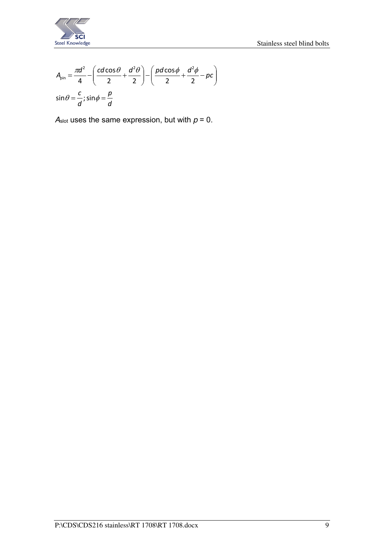

$$
A_{\text{pin}} = \frac{\pi d^2}{4} - \left(\frac{cd\cos\theta}{2} + \frac{d^2\theta}{2}\right) - \left(\frac{pd\cos\phi}{2} + \frac{d^2\phi}{2} - pc\right)
$$
  

$$
\sin\theta = \frac{c}{d}; \sin\phi = \frac{p}{d}
$$

 $A<sub>slot</sub>$  uses the same expression, but with  $p = 0$ .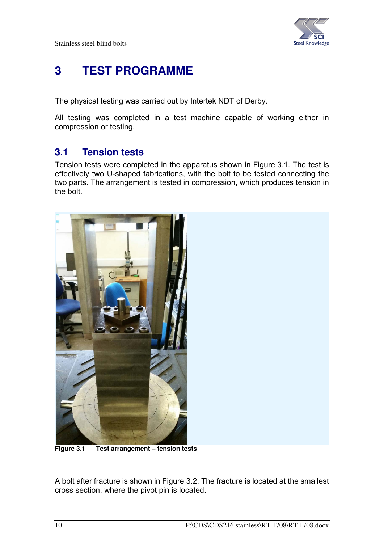

# **3 TEST PROGRAMME**

The physical testing was carried out by Intertek NDT of Derby.

All testing was completed in a test machine capable of working either in compression or testing.

# **3.1 Tension tests**

Tension tests were completed in the apparatus shown in Figure 3.1. The test is effectively two U-shaped fabrications, with the bolt to be tested connecting the two parts. The arrangement is tested in compression, which produces tension in the bolt.



**Figure 3.1 Test arrangement – tension tests** 

A bolt after fracture is shown in Figure 3.2. The fracture is located at the smallest cross section, where the pivot pin is located.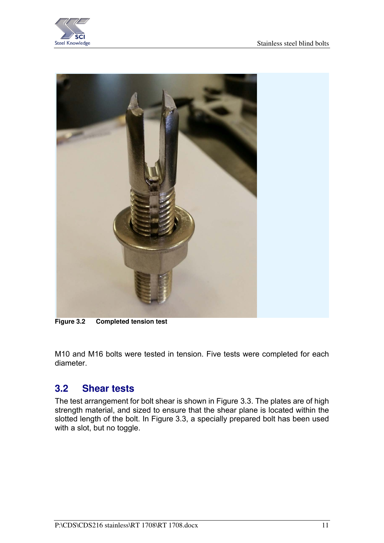



**Figure 3.2 Completed tension test** 

M10 and M16 bolts were tested in tension. Five tests were completed for each diameter.

#### **3.2 Shear tests**

The test arrangement for bolt shear is shown in Figure 3.3. The plates are of high strength material, and sized to ensure that the shear plane is located within the slotted length of the bolt. In Figure 3.3, a specially prepared bolt has been used with a slot, but no toggle.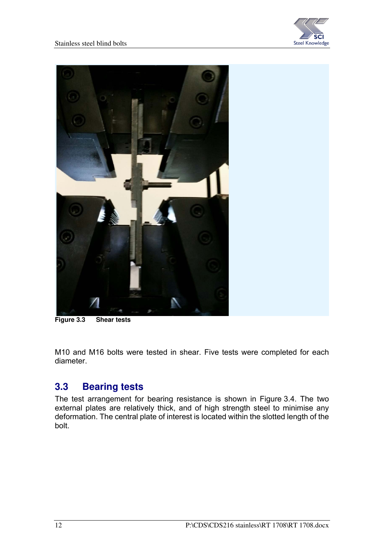



**Figure 3.3 Shear tests** 

M10 and M16 bolts were tested in shear. Five tests were completed for each diameter.

#### **3.3 Bearing tests**

The test arrangement for bearing resistance is shown in Figure 3.4. The two external plates are relatively thick, and of high strength steel to minimise any deformation. The central plate of interest is located within the slotted length of the bolt.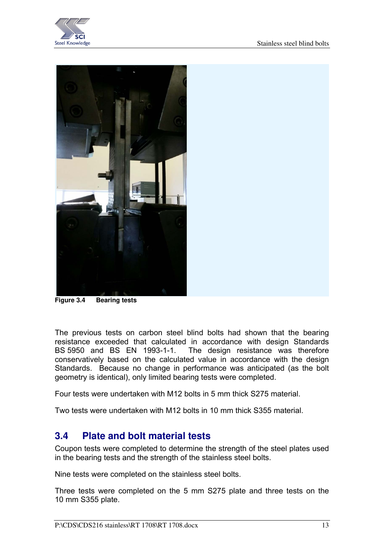



**Figure 3.4 Bearing tests** 

The previous tests on carbon steel blind bolts had shown that the bearing resistance exceeded that calculated in accordance with design Standards BS 5950 and BS EN 1993-1-1. The design resistance was therefore conservatively based on the calculated value in accordance with the design Standards. Because no change in performance was anticipated (as the bolt geometry is identical), only limited bearing tests were completed.

Four tests were undertaken with M12 bolts in 5 mm thick S275 material.

Two tests were undertaken with M12 bolts in 10 mm thick S355 material.

### **3.4 Plate and bolt material tests**

Coupon tests were completed to determine the strength of the steel plates used in the bearing tests and the strength of the stainless steel bolts.

Nine tests were completed on the stainless steel bolts.

Three tests were completed on the 5 mm S275 plate and three tests on the 10 mm S355 plate.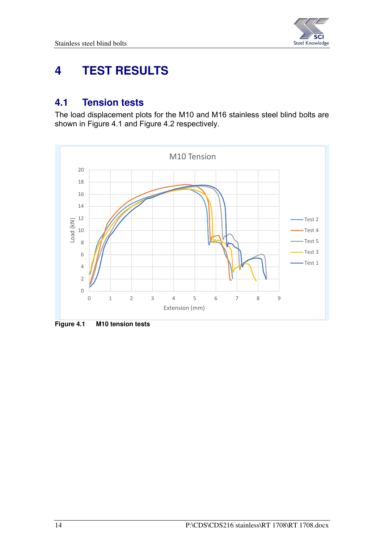

# **4 TEST RESULTS**

# **4.1 Tension tests**

The load displacement plots for the M10 and M16 stainless steel blind bolts are shown in Figure 4.1 and Figure 4.2 respectively.



**Figure 4.1 M10 tension tests**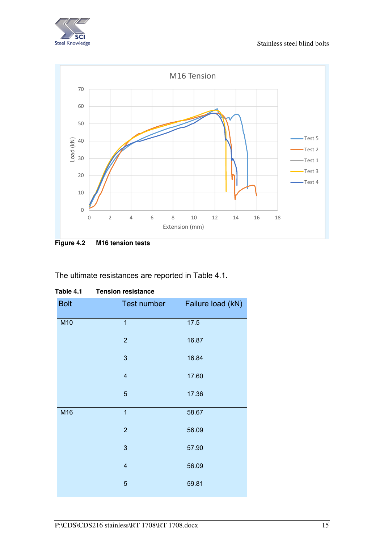



**Figure 4.2 M16 tension tests** 

The ultimate resistances are reported in Table 4.1.

| <b>Bolt</b> | <b>Test number</b>      | Failure load (kN) |
|-------------|-------------------------|-------------------|
| M10         | $\overline{1}$          | 17.5              |
|             | $\overline{2}$          | 16.87             |
|             | 3                       | 16.84             |
|             | $\overline{\mathbf{4}}$ | 17.60             |
|             | 5                       | 17.36             |
| M16         | $\overline{1}$          | 58.67             |
|             | $\overline{2}$          | 56.09             |
|             | 3                       | 57.90             |
|             | $\overline{\mathbf{4}}$ | 56.09             |
|             | 5                       | 59.81             |

| Table 4.1 | <b>Tension resistance</b> |
|-----------|---------------------------|
|           |                           |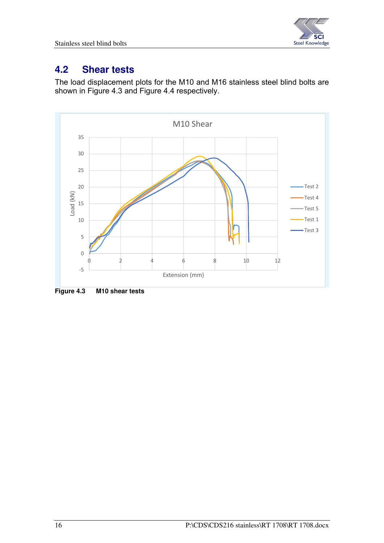

# **4.2 Shear tests**

The load displacement plots for the M10 and M16 stainless steel blind bolts are shown in Figure 4.3 and Figure 4.4 respectively.



**Figure 4.3 M10 shear tests**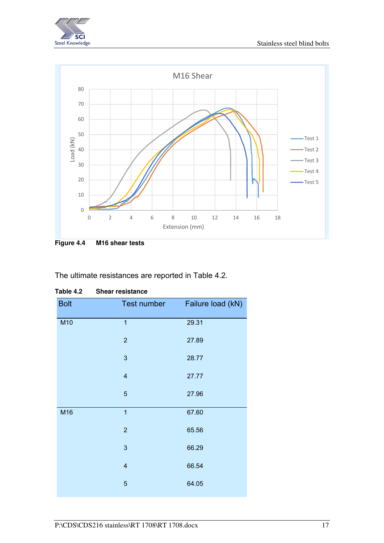



**Figure 4.4 M16 shear tests** 

The ultimate resistances are reported in Table 4.2.

| <b>Bolt</b> | Test number             | Failure load (kN) |
|-------------|-------------------------|-------------------|
| M10         | $\overline{1}$          | 29.31             |
|             | $\overline{2}$          | 27.89             |
|             | $\mathbf{3}$            | 28.77             |
|             | $\overline{\mathbf{4}}$ | 27.77             |
|             | 5                       | 27.96             |
| M16         | $\overline{1}$          | 67.60             |
|             | $\overline{2}$          | 65.56             |
|             | 3                       | 66.29             |
|             | $\overline{\mathbf{4}}$ | 66.54             |
|             | $\overline{5}$          | 64.05             |

| Table 4.2 | <b>Shear resistance</b> |
|-----------|-------------------------|
|-----------|-------------------------|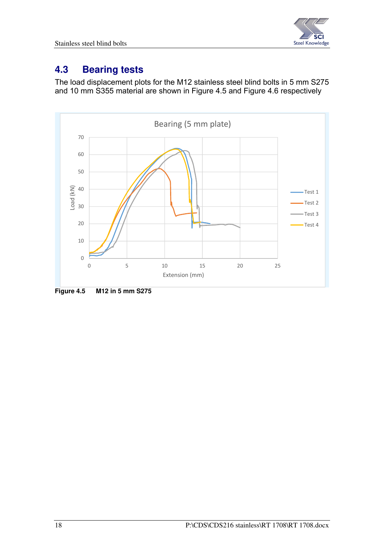

# **4.3 Bearing tests**

The load displacement plots for the M12 stainless steel blind bolts in 5 mm S275 and 10 mm S355 material are shown in Figure 4.5 and Figure 4.6 respectively



**Figure 4.5 M12 in 5 mm S275**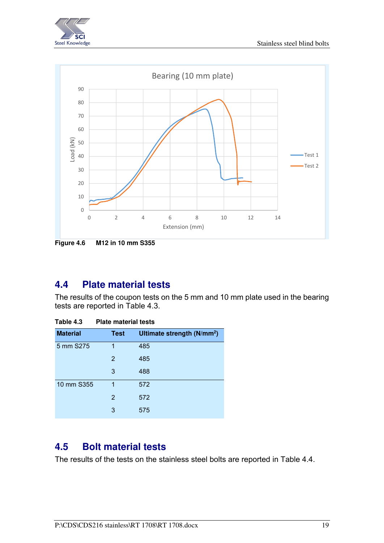



**Figure 4.6 M12 in 10 mm S355** 

# **4.4 Plate material tests**

The results of the coupon tests on the 5 mm and 10 mm plate used in the bearing tests are reported in Table 4.3.

| Taple 4.3       | Plate material tests |                             |
|-----------------|----------------------|-----------------------------|
| <b>Material</b> | <b>Test</b>          | Ultimate strength $(N/mm2)$ |
| 5 mm S275       | 1                    | 485                         |
|                 | 2                    | 485                         |
|                 | 3                    | 488                         |
| 10 mm S355      | 1                    | 572                         |
|                 | 2                    | 572                         |
|                 | 3                    | 575                         |
|                 |                      |                             |

**Table 4.3 Plate material tests** 

# **4.5 Bolt material tests**

The results of the tests on the stainless steel bolts are reported in Table 4.4.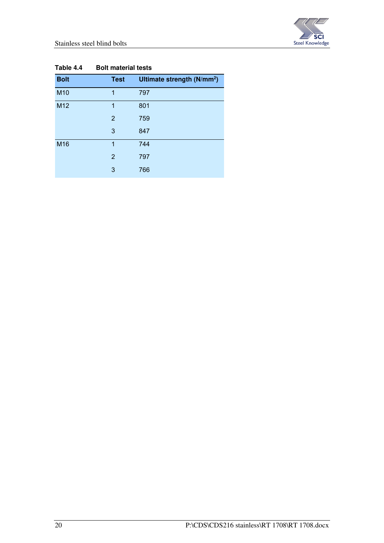

| Table 4.4   | <b>DOIL Material tests</b> |                                        |
|-------------|----------------------------|----------------------------------------|
| <b>Bolt</b> | <b>Test</b>                | Ultimate strength (N/mm <sup>2</sup> ) |
| M10         | 1                          | 797                                    |
| M12         | 1                          | 801                                    |
|             | $\overline{2}$             | 759                                    |
|             | 3                          | 847                                    |
| M16         | 1                          | 744                                    |
|             | $\overline{2}$             | 797                                    |
|             | 3                          | 766                                    |
|             |                            |                                        |

#### **Table 4.4 Bolt material tests**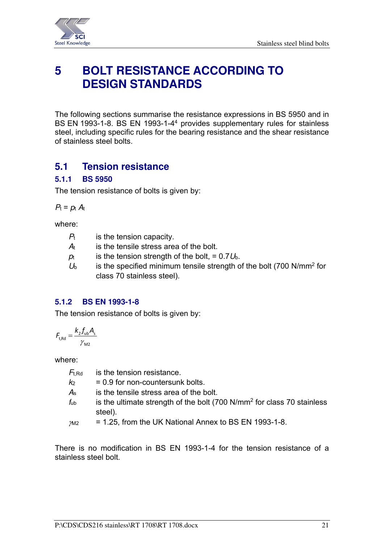

# **5 BOLT RESISTANCE ACCORDING TO DESIGN STANDARDS**

The following sections summarise the resistance expressions in BS 5950 and in BS EN 1993-1-8. BS EN 1993-1-4<sup>4</sup> provides supplementary rules for stainless steel, including specific rules for the bearing resistance and the shear resistance of stainless steel bolts.

# **5.1 Tension resistance**

#### **5.1.1 BS 5950**

The tension resistance of bolts is given by:

$$
P_{t} = p_{t} A_{t}
$$

where:

- $P_t$  is the tension capacity.
- $A<sub>t</sub>$  is the tensile stress area of the bolt.
- $p_t$  is the tension strength of the bolt, = 0.7 $U_b$ .
- $U<sub>b</sub>$  is the specified minimum tensile strength of the bolt (700 N/mm<sup>2</sup> for class 70 stainless steel).

#### **5.1.2 BS EN 1993-1-8**

The tension resistance of bolts is given by:

$$
F_{\rm t, Rd} = \frac{k_{2} f_{\rm ub} A_{\rm s}}{\gamma_{\rm M2}}
$$

where:

| $F_{t.Rd}$      | is the tension resistance.                                                         |
|-----------------|------------------------------------------------------------------------------------|
| k <sub>2</sub>  | $= 0.9$ for non-countersunk bolts.                                                 |
| $A_{\rm s}$     | is the tensile stress area of the bolt.                                            |
| $f_{\text{ub}}$ | is the ultimate strength of the bolt $(700 \text{ N/mm}^2)$ for class 70 stainless |
|                 | steel).                                                                            |
|                 |                                                                                    |

 $<sub>10M2</sub>$  = 1.25, from the UK National Annex to BS EN 1993-1-8.</sub>

There is no modification in BS EN 1993-1-4 for the tension resistance of a stainless steel bolt.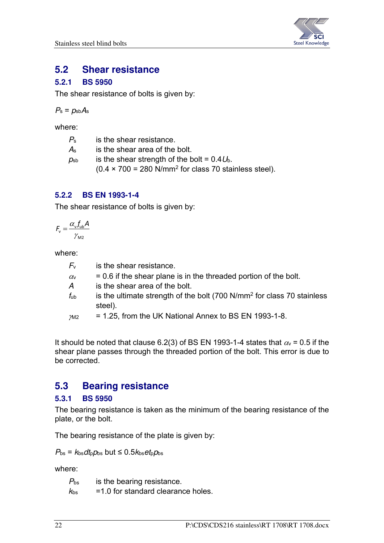



steel).

#### **5.2 Shear resistance**

#### **5.2.1 BS 5950**

The shear resistance of bolts is given by:

 $P_{\rm s} = p_{\rm sb}A_{\rm s}$ 

where:

| $P_{\rm s}$ | is the shear resistance.                                      |
|-------------|---------------------------------------------------------------|
| $A_{\rm s}$ | is the shear area of the bolt.                                |
| $p_{sb}$    | is the shear strength of the bolt = $0.4U_b$ .                |
|             | $(0.4 \times 700 = 280 \text{ N/mm}^2$ for class 70 stainless |

#### **5.2.2 BS EN 1993-1-4**

The shear resistance of bolts is given by:

$$
F_{\rm v} = \frac{\alpha_{\rm v} f_{\rm ub} A}{\gamma_{\rm M2}}
$$

where:

- $F_v$  is the shear resistance.
- $\alpha$  = 0.6 if the shear plane is in the threaded portion of the bolt.
- A is the shear area of the bolt.
- $f_{\text{ub}}$  is the ultimate strength of the bolt (700 N/mm<sup>2</sup> for class 70 stainless steel).
- $_{M2}$  = 1.25, from the UK National Annex to BS EN 1993-1-8.

It should be noted that clause 6.2(3) of BS EN 1993-1-4 states that  $\alpha_{\rm v}$  = 0.5 if the shear plane passes through the threaded portion of the bolt. This error is due to be corrected.

### **5.3 Bearing resistance**

#### **5.3.1 BS 5950**

The bearing resistance is taken as the minimum of the bearing resistance of the plate, or the bolt.

The bearing resistance of the plate is given by:

 $P_{\text{bs}} = k_{\text{bs}}dt_{\text{p}}p_{\text{bs}}$  but  $\leq 0.5k_{\text{bs}}et_{\text{p}}p_{\text{bs}}$ 

where:

 $P_{\text{bs}}$  is the bearing resistance.

 $k_{\text{bs}}$  = 1.0 for standard clearance holes.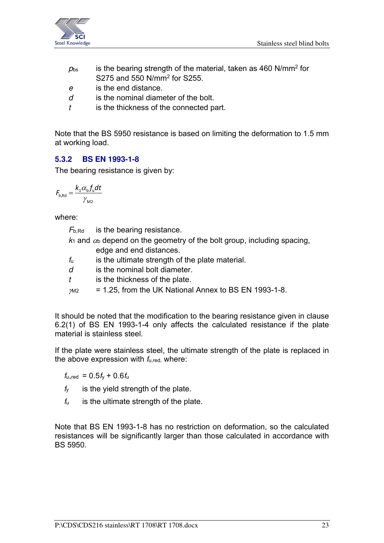

- $\rho_{\rm{bs}}$  is the bearing strength of the material, taken as 460 N/mm<sup>2</sup> for S275 and 550 N/mm<sup>2</sup> for S255.
- e is the end distance.
- $d$  is the nominal diameter of the bolt.
- $t$  is the thickness of the connected part.

Note that the BS 5950 resistance is based on limiting the deformation to 1.5 mm at working load.

#### **5.3.2 BS EN 1993-1-8**

The bearing resistance is given by:

$$
F_{\rm b, Rd} = \frac{k_{\rm 1}\alpha_{\rm b}f_{\rm u}dt}{\gamma_{\rm M2}}
$$

where:

 $F<sub>b,Rd</sub>$  is the bearing resistance.

- $k_1$  and  $\alpha_b$  depend on the geometry of the bolt group, including spacing, edge and end distances.
- $f_{\rm u}$  is the ultimate strength of the plate material.
- $d$  is the nominal bolt diameter.
- $t$  is the thickness of the plate.
- $M<sub>2</sub>$  = 1.25, from the UK National Annex to BS EN 1993-1-8.

It should be noted that the modification to the bearing resistance given in clause 6.2(1) of BS EN 1993-1-4 only affects the calculated resistance if the plate material is stainless steel.

If the plate were stainless steel, the ultimate strength of the plate is replaced in the above expression with  $f_{u, \text{red}}$ , where:

 $f_{u, \text{red}} = 0.5f_{v} + 0.6f_{u}$ 

- $f<sub>y</sub>$  is the yield strength of the plate.
- $f_{\rm u}$  is the ultimate strength of the plate.

Note that BS EN 1993-1-8 has no restriction on deformation, so the calculated resistances will be significantly larger than those calculated in accordance with BS 5950.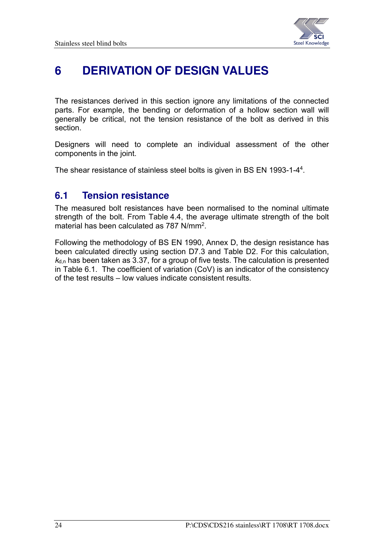

# **6 DERIVATION OF DESIGN VALUES**

The resistances derived in this section ignore any limitations of the connected parts. For example, the bending or deformation of a hollow section wall will generally be critical, not the tension resistance of the bolt as derived in this section.

Designers will need to complete an individual assessment of the other components in the joint.

The shear resistance of stainless steel bolts is given in BS EN 1993-1-4<sup>4</sup>.

### **6.1 Tension resistance**

The measured bolt resistances have been normalised to the nominal ultimate strength of the bolt. From Table 4.4, the average ultimate strength of the bolt material has been calculated as 787 N/mm<sup>2</sup>.

Following the methodology of BS EN 1990, Annex D, the design resistance has been calculated directly using section D7.3 and Table D2. For this calculation,  $k<sub>d,n</sub>$  has been taken as 3.37, for a group of five tests. The calculation is presented in Table 6.1. The coefficient of variation (CoV) is an indicator of the consistency of the test results – low values indicate consistent results.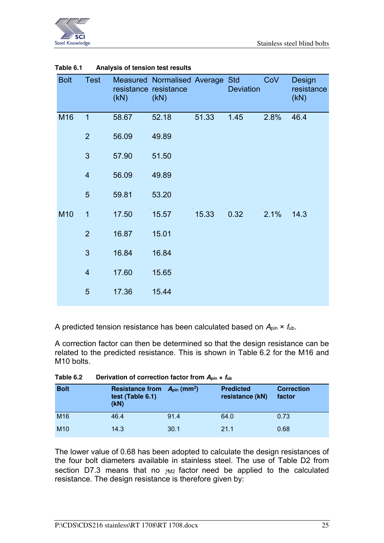

| <b>Bolt</b> | <b>Test</b>    | (KN)  | Measured Normalised Average Std<br>resistance resistance<br>(kN) |       | <b>Deviation</b> | CoV  | Design<br>resistance<br>(KN) |
|-------------|----------------|-------|------------------------------------------------------------------|-------|------------------|------|------------------------------|
| M16         | $\overline{1}$ | 58.67 | 52.18                                                            | 51.33 | 1.45             | 2.8% | 46.4                         |
|             | $\overline{2}$ | 56.09 | 49.89                                                            |       |                  |      |                              |
|             | 3              | 57.90 | 51.50                                                            |       |                  |      |                              |
|             | $\overline{4}$ | 56.09 | 49.89                                                            |       |                  |      |                              |
|             | 5              | 59.81 | 53.20                                                            |       |                  |      |                              |
| M10         | $\overline{1}$ | 17.50 | 15.57                                                            | 15.33 | 0.32             | 2.1% | 14.3                         |
|             | $\overline{2}$ | 16.87 | 15.01                                                            |       |                  |      |                              |
|             | 3              | 16.84 | 16.84                                                            |       |                  |      |                              |
|             | $\overline{4}$ | 17.60 | 15.65                                                            |       |                  |      |                              |
|             | 5              | 17.36 | 15.44                                                            |       |                  |      |                              |

| Analysis of tension test results<br>Table 6.1 |
|-----------------------------------------------|
|-----------------------------------------------|

A predicted tension resistance has been calculated based on  $A_{pin} \times f_{ub}$ .

A correction factor can then be determined so that the design resistance can be related to the predicted resistance. This is shown in Table 6.2 for the M16 and M<sub>10</sub> bolts.

| <b>Bolt</b>     | Resistance from $A_{pin}$ (mm <sup>2</sup> )<br>test (Table 6.1)<br>(KN) |      | <b>Predicted</b><br>resistance (kN) | <b>Correction</b><br>factor |
|-----------------|--------------------------------------------------------------------------|------|-------------------------------------|-----------------------------|
| M <sub>16</sub> | 46.4                                                                     | 91.4 | 64.0                                | 0.73                        |
| M <sub>10</sub> | 14.3                                                                     | 30.1 | 21.1                                | 0.68                        |

Table 6.2 Derivation of correction factor from  $A_{pin} \times f_{ub}$ 

The lower value of 0.68 has been adopted to calculate the design resistances of the four bolt diameters available in stainless steel. The use of Table D2 from section D7.3 means that no  $_{M2}$  factor need be applied to the calculated resistance. The design resistance is therefore given by: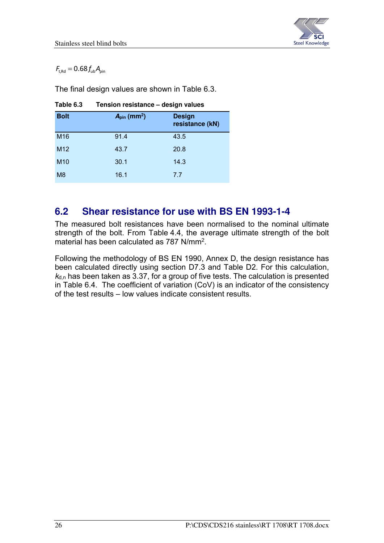

 $F_{\text{rad}} = 0.68 f_{\text{ub}} A_{\text{pin}}$ 

The final design values are shown in Table 6.3.

| <b>Bolt</b>    | $A_{pin}$ (mm <sup>2</sup> ) | <b>Design</b><br>resistance (kN) |
|----------------|------------------------------|----------------------------------|
| M16            | 91.4                         | 43.5                             |
| M12            | 43.7                         | 20.8                             |
| M10            | 30.1                         | 14.3                             |
| M <sub>8</sub> | 16.1                         | 7.7                              |

**Table 6.3 Tension resistance – design values** 

### **6.2 Shear resistance for use with BS EN 1993-1-4**

The measured bolt resistances have been normalised to the nominal ultimate strength of the bolt. From Table 4.4, the average ultimate strength of the bolt material has been calculated as 787 N/mm<sup>2</sup>.

Following the methodology of BS EN 1990, Annex D, the design resistance has been calculated directly using section D7.3 and Table D2. For this calculation,  $k_{d,n}$  has been taken as 3.37, for a group of five tests. The calculation is presented in Table 6.4. The coefficient of variation (CoV) is an indicator of the consistency of the test results – low values indicate consistent results.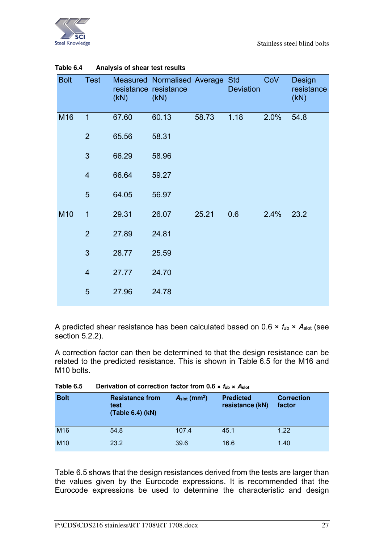

| <b>Bolt</b> | Test                    | (KN)  | Measured Normalised Average Std<br>resistance resistance<br>(kN) |       | <b>Deviation</b> | CoV  | Design<br>resistance<br>(KN) |
|-------------|-------------------------|-------|------------------------------------------------------------------|-------|------------------|------|------------------------------|
| M16         | $\overline{1}$          | 67.60 | 60.13                                                            | 58.73 | 1.18             | 2.0% | 54.8                         |
|             | $\overline{2}$          | 65.56 | 58.31                                                            |       |                  |      |                              |
|             | 3                       | 66.29 | 58.96                                                            |       |                  |      |                              |
|             | $\overline{\mathbf{4}}$ | 66.64 | 59.27                                                            |       |                  |      |                              |
|             | 5                       | 64.05 | 56.97                                                            |       |                  |      |                              |
| M10         | $\mathbf{1}$            | 29.31 | 26.07                                                            | 25.21 | 0.6              | 2.4% | 23.2                         |
|             | $\overline{2}$          | 27.89 | 24.81                                                            |       |                  |      |                              |
|             | 3                       | 28.77 | 25.59                                                            |       |                  |      |                              |
|             | $\overline{4}$          | 27.77 | 24.70                                                            |       |                  |      |                              |
|             | 5                       | 27.96 | 24.78                                                            |       |                  |      |                              |

A predicted shear resistance has been calculated based on  $0.6 \times f_{ub} \times A_{slot}$  (see section 5.2.2).

A correction factor can then be determined to that the design resistance can be related to the predicted resistance. This is shown in Table 6.5 for the M16 and M<sub>10</sub> bolts.

| <b>Bolt</b>     | <b>Resistance from</b><br>test<br>(Table 6.4) (kN) | $Aslot$ (mm <sup>2</sup> ) | <b>Predicted</b><br>resistance (kN) | <b>Correction</b><br>factor |  |  |  |
|-----------------|----------------------------------------------------|----------------------------|-------------------------------------|-----------------------------|--|--|--|
| M <sub>16</sub> | 54.8                                               | 107.4                      | 45.1                                | 1.22                        |  |  |  |
| M <sub>10</sub> | 23.2                                               | 39.6                       | 16.6                                | 1.40                        |  |  |  |

Table 6.5 shows that the design resistances derived from the tests are larger than the values given by the Eurocode expressions. It is recommended that the Eurocode expressions be used to determine the characteristic and design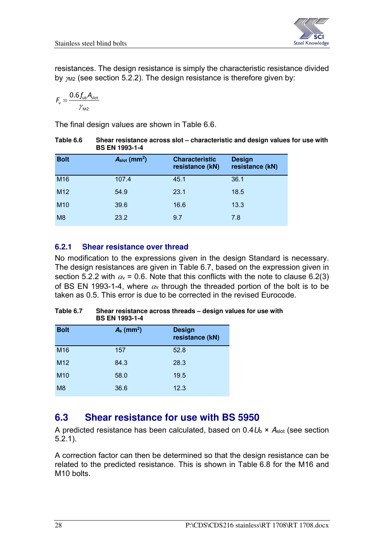

resistances. The design resistance is simply the characteristic resistance divided by  $_{\text{M2}}$  (see section 5.2.2). The design resistance is therefore given by:

$$
F_{_v}=\frac{0.6 f_{_{ub}} A_{_{slot}}}{\gamma_{_{M2}}}
$$

The final design values are shown in Table 6.6.

|                | ד־ו־טטטו וו∟ טע            |                                          |                                  |
|----------------|----------------------------|------------------------------------------|----------------------------------|
| <b>Bolt</b>    | $Aslot$ (mm <sup>2</sup> ) | <b>Characteristic</b><br>resistance (kN) | <b>Design</b><br>resistance (kN) |
| M16            | 107.4                      | 45.1                                     | 36.1                             |
| M12            | 54.9                       | 23.1                                     | 18.5                             |
| M10            | 39.6                       | 16.6                                     | 13.3                             |
| M <sub>8</sub> | 23.2                       | 9.7                                      | 7.8                              |

**Table 6.6 Shear resistance across slot – characteristic and design values for use with BS EN 1993-1-4** 

#### **6.2.1 Shear resistance over thread**

No modification to the expressions given in the design Standard is necessary. The design resistances are given in Table 6.7, based on the expression given in section 5.2.2 with  $\alpha$  = 0.6. Note that this conflicts with the note to clause 6.2(3) of BS EN 1993-1-4, where  $\alpha$  through the threaded portion of the bolt is to be taken as 0.5. This error is due to be corrected in the revised Eurocode.

**Table 6.7 Shear resistance across threads – design values for use with BS EN 1993-1-4** 

| <b>Bolt</b>     | $A_s$ (mm <sup>2</sup> ) | <b>Design</b><br>resistance (kN) |
|-----------------|--------------------------|----------------------------------|
| M16             | 157                      | 52.8                             |
| M <sub>12</sub> | 84.3                     | 28.3                             |
| M <sub>10</sub> | 58.0                     | 19.5                             |
| M <sub>8</sub>  | 36.6                     | 12.3                             |

### **6.3 Shear resistance for use with BS 5950**

A predicted resistance has been calculated, based on  $0.4U<sub>b</sub> \times A<sub>slot</sub>$  (see section 5.2.1).

A correction factor can then be determined so that the design resistance can be related to the predicted resistance. This is shown in Table 6.8 for the M16 and M<sub>10</sub> bolts.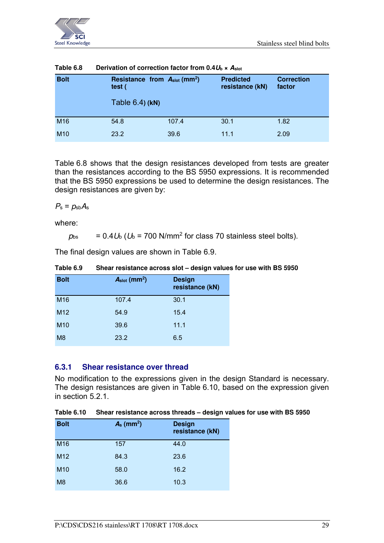

| <b>Bolt</b>     | Resistance from $Aslot$ (mm <sup>2</sup> )<br>test (<br>Table $6.4$ ) (kN) |       | <b>Predicted</b><br>resistance (kN) | <b>Correction</b><br>factor |
|-----------------|----------------------------------------------------------------------------|-------|-------------------------------------|-----------------------------|
| M16             | 54.8                                                                       | 107.4 | 30.1                                | 1.82                        |
| M <sub>10</sub> | 23.2                                                                       | 39.6  | 11.1                                | 2.09                        |

**Table 6.8 Derivation of correction factor from 0.4Ub × Aslot**

Table 6.8 shows that the design resistances developed from tests are greater than the resistances according to the BS 5950 expressions. It is recommended that the BS 5950 expressions be used to determine the design resistances. The design resistances are given by:

$$
P_{\rm s}=p_{\rm sb}A_{\rm s}
$$

where:

 $p_{\text{bs}}$  = 0.4 $U_{\text{b}}$  ( $U_{\text{b}}$  = 700 N/mm<sup>2</sup> for class 70 stainless steel bolts).

The final design values are shown in Table 6.9.

| <b>Bolt</b>     | $Aslot$ (mm <sup>2</sup> ) | <b>Design</b><br>resistance (kN) |
|-----------------|----------------------------|----------------------------------|
| M16             | 107.4                      | 30.1                             |
| M <sub>12</sub> | 54.9                       | 15.4                             |
| M <sub>10</sub> | 39.6                       | 11.1                             |
| M <sub>8</sub>  | 23.2                       | 6.5                              |

#### **6.3.1 Shear resistance over thread**

No modification to the expressions given in the design Standard is necessary. The design resistances are given in Table 6.10, based on the expression given in section 5.2.1.

| <b>Bolt</b>     | $A_s$ (mm <sup>2</sup> ) | <b>Design</b><br>resistance (kN) |
|-----------------|--------------------------|----------------------------------|
| M <sub>16</sub> | 157                      | 44.0                             |
| M <sub>12</sub> | 84.3                     | 23.6                             |
| M <sub>10</sub> | 58.0                     | 16.2                             |
| M <sub>8</sub>  | 36.6                     | 10.3                             |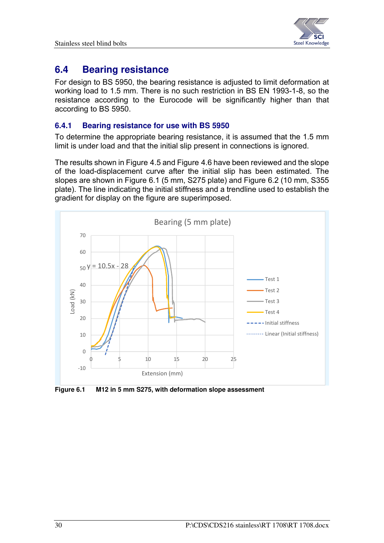

### **6.4 Bearing resistance**

For design to BS 5950, the bearing resistance is adjusted to limit deformation at working load to 1.5 mm. There is no such restriction in BS EN 1993-1-8, so the resistance according to the Eurocode will be significantly higher than that according to BS 5950.

#### **6.4.1 Bearing resistance for use with BS 5950**

To determine the appropriate bearing resistance, it is assumed that the 1.5 mm limit is under load and that the initial slip present in connections is ignored.

The results shown in Figure 4.5 and Figure 4.6 have been reviewed and the slope of the load-displacement curve after the initial slip has been estimated. The slopes are shown in Figure 6.1 (5 mm, S275 plate) and Figure 6.2 (10 mm, S355 plate). The line indicating the initial stiffness and a trendline used to establish the gradient for display on the figure are superimposed.



**Figure 6.1 M12 in 5 mm S275, with deformation slope assessment**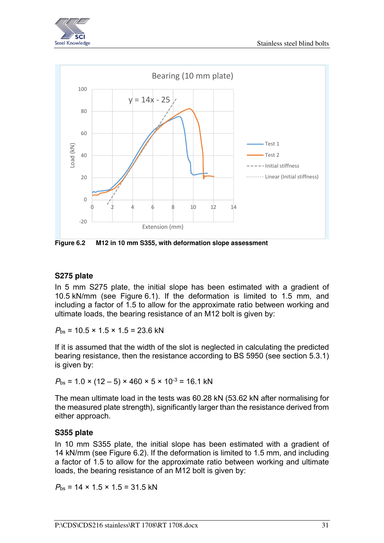



**Figure 6.2 M12 in 10 mm S355, with deformation slope assessment** 

#### **S275 plate**

In 5 mm S275 plate, the initial slope has been estimated with a gradient of 10.5 kN/mm (see Figure 6.1). If the deformation is limited to 1.5 mm, and including a factor of 1.5 to allow for the approximate ratio between working and ultimate loads, the bearing resistance of an M12 bolt is given by:

 $P_{\text{bs}}$  = 10.5 × 1.5 × 1.5 = 23.6 kN

If it is assumed that the width of the slot is neglected in calculating the predicted bearing resistance, then the resistance according to BS 5950 (see section 5.3.1) is given by:

 $P_{\text{bs}}$  = 1.0 × (12 – 5) × 460 × 5 × 10<sup>-3</sup> = 16.1 kN

The mean ultimate load in the tests was 60.28 kN (53.62 kN after normalising for the measured plate strength), significantly larger than the resistance derived from either approach.

#### **S355 plate**

In 10 mm S355 plate, the initial slope has been estimated with a gradient of 14 kN/mm (see Figure 6.2). If the deformation is limited to 1.5 mm, and including a factor of 1.5 to allow for the approximate ratio between working and ultimate loads, the bearing resistance of an M12 bolt is given by:

 $P_{\text{bs}}$  = 14 × 1.5 × 1.5 = 31.5 kN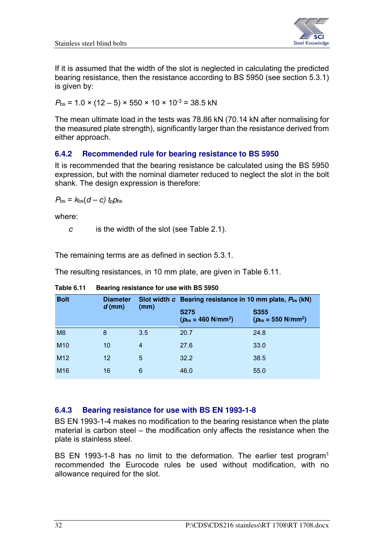

If it is assumed that the width of the slot is neglected in calculating the predicted bearing resistance, then the resistance according to BS 5950 (see section 5.3.1) is given by:

$$
P_{\text{bs}} = 1.0 \times (12 - 5) \times 550 \times 10 \times 10^{-3} = 38.5 \text{ kN}
$$

The mean ultimate load in the tests was 78.86 kN (70.14 kN after normalising for the measured plate strength), significantly larger than the resistance derived from either approach.

#### **6.4.2 Recommended rule for bearing resistance to BS 5950**

It is recommended that the bearing resistance be calculated using the BS 5950 expression, but with the nominal diameter reduced to neglect the slot in the bolt shank. The design expression is therefore:

 $P_{\text{bs}} = k_{\text{bs}}(d - c) t_{\text{p}} p_{\text{bs}}$ 

where:

 $c$  is the width of the slot (see Table 2.1).

The remaining terms are as defined in section 5.3.1.

The resulting resistances, in 10 mm plate, are given in Table 6.11.

| <b>Bolt</b>     | <b>Diameter</b><br>$d$ (mm) | (mm) | Slot width $c$ Bearing resistance in 10 mm plate, $P_{bs}$ (kN) |                                                       |  |
|-----------------|-----------------------------|------|-----------------------------------------------------------------|-------------------------------------------------------|--|
|                 |                             |      | <b>S275</b><br>$(p_{\text{bs}} = 460 \text{ N/mm}^2)$           | <b>S355</b><br>$(p_{\text{bs}} = 550 \text{ N/mm}^2)$ |  |
| M <sub>8</sub>  | 8                           | 3.5  | 20.7                                                            | 24.8                                                  |  |
| M <sub>10</sub> | 10                          | 4    | 27.6                                                            | 33.0                                                  |  |
| M12             | 12                          | 5    | 32.2                                                            | 38.5                                                  |  |
| M <sub>16</sub> | 16                          | 6    | 46.0                                                            | 55.0                                                  |  |

**Table 6.11 Bearing resistance for use with BS 5950** 

#### **6.4.3 Bearing resistance for use with BS EN 1993-1-8**

BS EN 1993-1-4 makes no modification to the bearing resistance when the plate material is carbon steel – the modification only affects the resistance when the plate is stainless steel.

BS EN 1993-1-8 has no limit to the deformation. The earlier test program<sup>1</sup> recommended the Eurocode rules be used without modification, with no allowance required for the slot.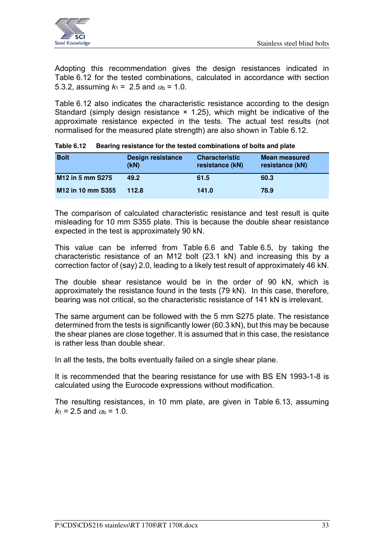

Adopting this recommendation gives the design resistances indicated in Table 6.12 for the tested combinations, calculated in accordance with section 5.3.2, assuming  $k_1 = 2.5$  and  $\alpha_b = 1.0$ .

Table 6.12 also indicates the characteristic resistance according to the design Standard (simply design resistance  $\times$  1.25), which might be indicative of the approximate resistance expected in the tests. The actual test results (not normalised for the measured plate strength) are also shown in Table 6.12.

| <b>Bolt</b>                               | <b>Design resistance</b><br>(KN) | <b>Characteristic</b><br>resistance (kN) | <b>Mean measured</b><br>resistance (kN) |
|-------------------------------------------|----------------------------------|------------------------------------------|-----------------------------------------|
| M <sub>12</sub> in 5 mm S <sub>275</sub>  | 49.2                             | 61.5                                     | 60.3                                    |
| M <sub>12</sub> in 10 mm S <sub>355</sub> | 112.8                            | 141.0                                    | 78.9                                    |

**Table 6.12 Bearing resistance for the tested combinations of bolts and plate** 

The comparison of calculated characteristic resistance and test result is quite misleading for 10 mm S355 plate. This is because the double shear resistance expected in the test is approximately 90 kN.

This value can be inferred from Table 6.6 and Table 6.5, by taking the characteristic resistance of an M12 bolt (23.1 kN) and increasing this by a correction factor of (say) 2.0, leading to a likely test result of approximately 46 kN.

The double shear resistance would be in the order of 90 kN, which is approximately the resistance found in the tests (79 kN). In this case, therefore, bearing was not critical, so the characteristic resistance of 141 kN is irrelevant.

The same argument can be followed with the 5 mm S275 plate. The resistance determined from the tests is significantly lower (60.3 kN), but this may be because the shear planes are close together. It is assumed that in this case, the resistance is rather less than double shear.

In all the tests, the bolts eventually failed on a single shear plane.

It is recommended that the bearing resistance for use with BS EN 1993-1-8 is calculated using the Eurocode expressions without modification.

The resulting resistances, in 10 mm plate, are given in Table 6.13, assuming  $k_1$  = 2.5 and  $\alpha$  = 1.0.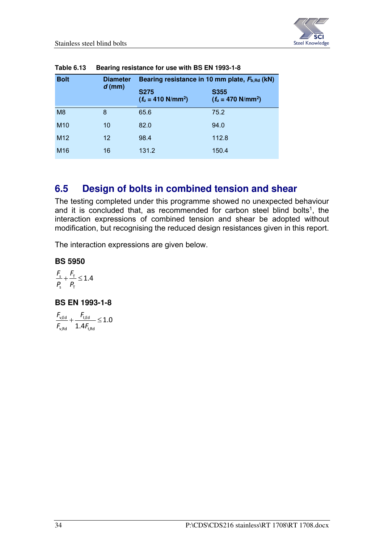| <b>Bolt</b> |                 | <b>Diameter</b> | Bearing resistance in 10 mm plate, $F_{b, Rd}$ (kN) |                                             |  |  |
|-------------|-----------------|-----------------|-----------------------------------------------------|---------------------------------------------|--|--|
|             |                 | $d$ (mm)        | <b>S275</b><br>$(f_u = 410 \text{ N/mm}^2)$         | <b>S355</b><br>$(f_u = 470 \text{ N/mm}^2)$ |  |  |
|             | M <sub>8</sub>  | 8               | 65.6                                                | 75.2                                        |  |  |
|             | M <sub>10</sub> | 10              | 82.0                                                | 94.0                                        |  |  |
|             | M <sub>12</sub> | 12              | 98.4                                                | 112.8                                       |  |  |
|             | M <sub>16</sub> | 16              | 131.2                                               | 150.4                                       |  |  |
|             |                 |                 |                                                     |                                             |  |  |

**Table 6.13 Bearing resistance for use with BS EN 1993-1-8** 

# **6.5 Design of bolts in combined tension and shear**

The testing completed under this programme showed no unexpected behaviour and it is concluded that, as recommended for carbon steel blind bolts<sup>1</sup>, the interaction expressions of combined tension and shear be adopted without modification, but recognising the reduced design resistances given in this report.

The interaction expressions are given below.

**BS 5950** 

4.1 T T s  $\frac{s}{-} + \frac{I_{\top}}{I} \leq$ *P F P F*

**BS EN 1993-1-8** 

0.1  $1.4 F_{t, Rd}$ t,Ed v,Rd  $\frac{v, Ed}{v} + \frac{v, Ed}{v} \leq$ *F F F F*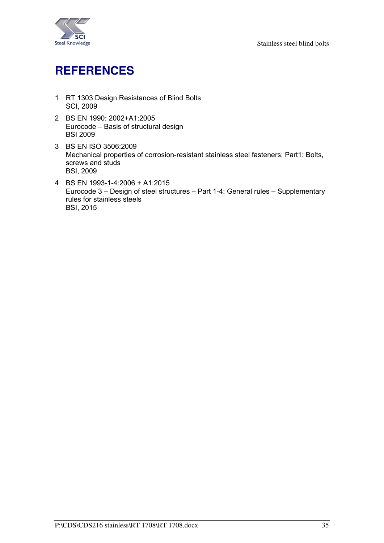

# **REFERENCES**

- 1 RT 1303 Design Resistances of Blind Bolts SCI, 2009
- 2 BS EN 1990: 2002+A1:2005 Eurocode – Basis of structural design BSI 2009
- 3 BS EN ISO 3506:2009 Mechanical properties of corrosion-resistant stainless steel fasteners; Part1: Bolts, screws and studs BSI, 2009
- 4 BS EN 1993-1-4:2006 + A1:2015 Eurocode 3 – Design of steel structures – Part 1-4: General rules – Supplementary rules for stainless steels BSI, 2015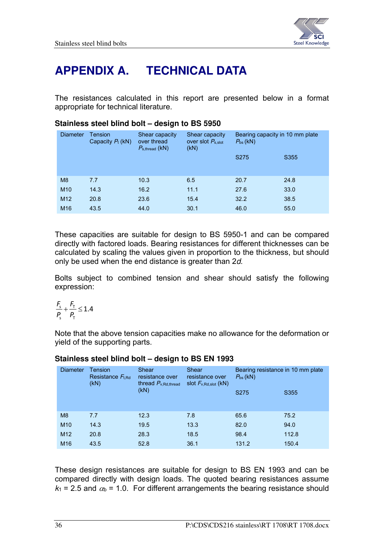

# **APPENDIX A. TECHNICAL DATA**

The resistances calculated in this report are presented below in a format appropriate for technical literature.

| <b>Diameter</b> | Tension<br>Capacity $P_t$ (kN) | Shear capacity<br>over thread<br>$P_{s,thread}$ ( $kN$ ) | Shear capacity<br>over slot $P_{\text{s,slot}}$<br>(KN) | Bearing capacity in 10 mm plate<br>$P_{bs}$ (kN) |      |
|-----------------|--------------------------------|----------------------------------------------------------|---------------------------------------------------------|--------------------------------------------------|------|
|                 |                                |                                                          |                                                         | S <sub>275</sub>                                 | S355 |
| M8              | 7.7                            | 10.3                                                     | 6.5                                                     | 20.7                                             | 24.8 |
| M <sub>10</sub> | 14.3                           | 16.2                                                     | 11.1                                                    | 27.6                                             | 33.0 |
| M <sub>12</sub> | 20.8                           | 23.6                                                     | 15.4                                                    | 32.2                                             | 38.5 |
| M <sub>16</sub> | 43.5                           | 44.0                                                     | 30.1                                                    | 46.0                                             | 55.0 |

#### **Stainless steel blind bolt – design to BS 5950**

These capacities are suitable for design to BS 5950-1 and can be compared directly with factored loads. Bearing resistances for different thicknesses can be calculated by scaling the values given in proportion to the thickness, but should only be used when the end distance is greater than 2d.

Bolts subject to combined tension and shear should satisfy the following expression:

4.1 T T s  $\frac{s}{-} + \frac{I + I}{-} \leq$ *P F P F*

Note that the above tension capacities make no allowance for the deformation or yield of the supporting parts.

#### **Stainless steel blind bolt – design to BS EN 1993**

| <b>Diameter</b> | Tension<br>Resistance $F_{t, Rd}$<br>(KN) | Shear<br>resistance over<br>thread $P_{v,Rd,thread}$<br>(kN) | Shear<br>resistance over<br>slot $F_{v, Rd, slot}$ (kN) | Bearing resistance in 10 mm plate<br>$P_{bs}$ (kN) |       |
|-----------------|-------------------------------------------|--------------------------------------------------------------|---------------------------------------------------------|----------------------------------------------------|-------|
|                 |                                           |                                                              |                                                         | S <sub>275</sub>                                   | S355  |
| M <sub>8</sub>  | 7.7                                       | 12.3                                                         | 7.8                                                     | 65.6                                               | 75.2  |
| M <sub>10</sub> | 14.3                                      | 19.5                                                         | 13.3                                                    | 82.0                                               | 94.0  |
| M <sub>12</sub> | 20.8                                      | 28.3                                                         | 18.5                                                    | 98.4                                               | 112.8 |
| M <sub>16</sub> | 43.5                                      | 52.8                                                         | 36.1                                                    | 131.2                                              | 150.4 |

These design resistances are suitable for design to BS EN 1993 and can be compared directly with design loads. The quoted bearing resistances assume  $k_1$  = 2.5 and  $\alpha$  = 1.0. For different arrangements the bearing resistance should